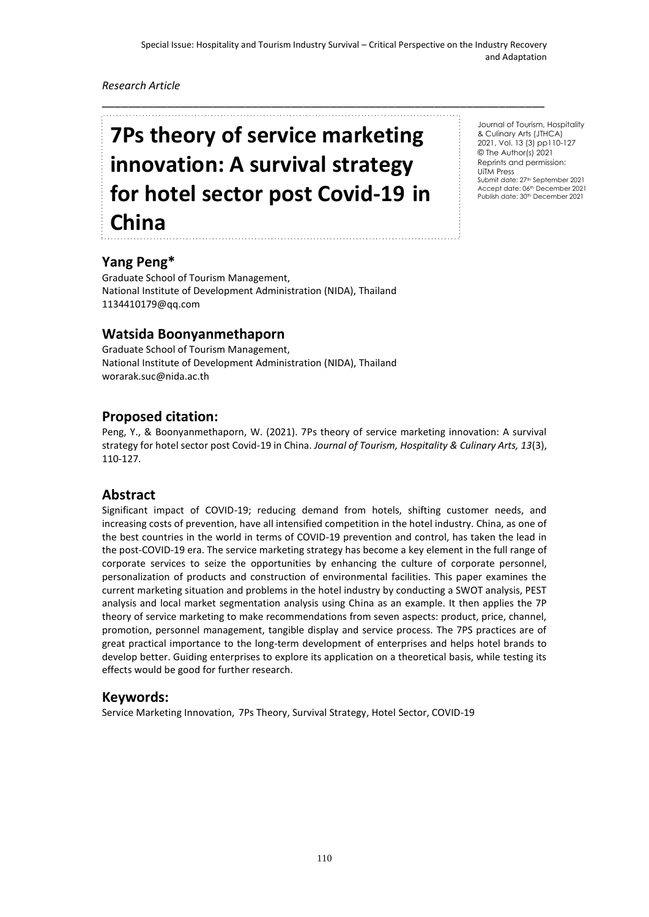\_\_\_\_\_\_\_\_\_\_\_\_\_\_\_\_\_\_\_\_\_\_\_\_\_\_\_\_\_\_\_\_\_\_\_\_\_\_\_\_\_\_\_\_\_\_\_\_\_\_\_\_\_\_\_\_\_\_\_\_\_\_\_\_\_\_\_\_

#### *Research Article*

# **7Ps theory of service marketing innovation: A survival strategy for hotel sector post Covid-19 in China**

Journal of Tourism, Hospitality & Culinary Arts (JTHCA) 2021, Vol. 13 (3) pp110-127 © The Author(s) 2021 Reprints and permission: UiTM Press Submit date: 27th September 2021 Accept date: 06th December 2021<br>Publish date: 30th December 2021

## **Yang Peng\***

Graduate School of Tourism Management, National Institute of Development Administration (NIDA), Thailand [1134410179@qq.com](mailto:1134410179@qq.com)

## **Watsida Boonyanmethaporn**

Graduate School of Tourism Management, National Institute of Development Administration (NIDA), Thailand worarak.suc@nida.ac.th

#### **Proposed citation:**

Peng, Y., & Boonyanmethaporn, W. (2021). 7Ps theory of service marketing innovation: A survival strategy for hotel sector post Covid-19 in China. *Journal of Tourism, Hospitality & Culinary Arts, 13*(3), 110-127.

#### **Abstract**

Significant impact of COVID-19; reducing demand from hotels, shifting customer needs, and increasing costs of prevention, have all intensified competition in the hotel industry. China, as one of the best countries in the world in terms of COVID-19 prevention and control, has taken the lead in the post-COVID-19 era. The service marketing strategy has become a key element in the full range of corporate services to seize the opportunities by enhancing the culture of corporate personnel, personalization of products and construction of environmental facilities. This paper examines the current marketing situation and problems in the hotel industry by conducting a SWOT analysis, PEST analysis and local market segmentation analysis using China as an example. It then applies the 7P theory of service marketing to make recommendations from seven aspects: product, price, channel, promotion, personnel management, tangible display and service process. The 7PS practices are of great practical importance to the long-term development of enterprises and helps hotel brands to develop better. Guiding enterprises to explore its application on a theoretical basis, while testing its effects would be good for further research.

#### **Keywords:**

Service Marketing Innovation, 7Ps Theory, Survival Strategy, Hotel Sector, COVID-19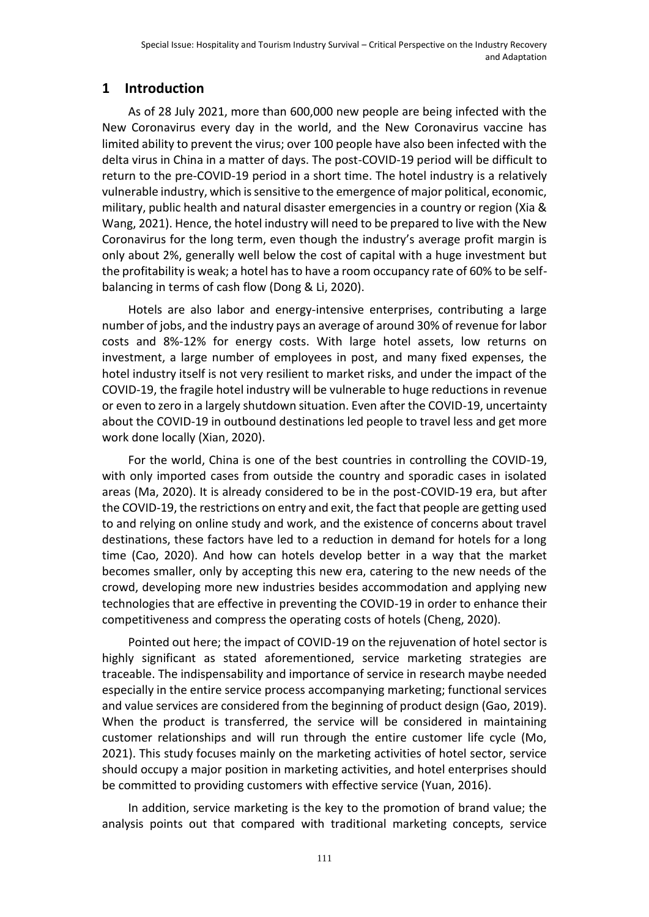# **1 Introduction**

As of 28 July 2021, more than 600,000 new people are being infected with the New Coronavirus every day in the world, and the New Coronavirus vaccine has limited ability to prevent the virus; over 100 people have also been infected with the delta virus in China in a matter of days. The post-COVID-19 period will be difficult to return to the pre-COVID-19 period in a short time. The hotel industry is a relatively vulnerable industry, which is sensitive to the emergence of major political, economic, military, public health and natural disaster emergencies in a country or region (Xia & Wang, 2021). Hence, the hotel industry will need to be prepared to live with the New Coronavirus for the long term, even though the industry's average profit margin is only about 2%, generally well below the cost of capital with a huge investment but the profitability is weak; a hotel has to have a room occupancy rate of 60% to be selfbalancing in terms of cash flow (Dong & Li, 2020).

Hotels are also labor and energy-intensive enterprises, contributing a large number of jobs, and the industry pays an average of around 30% of revenue for labor costs and 8%-12% for energy costs. With large hotel assets, low returns on investment, a large number of employees in post, and many fixed expenses, the hotel industry itself is not very resilient to market risks, and under the impact of the COVID-19, the fragile hotel industry will be vulnerable to huge reductions in revenue or even to zero in a largely shutdown situation. Even after the COVID-19, uncertainty about the COVID-19 in outbound destinations led people to travel less and get more work done locally (Xian, 2020).

For the world, China is one of the best countries in controlling the COVID-19, with only imported cases from outside the country and sporadic cases in isolated areas (Ma, 2020). It is already considered to be in the post-COVID-19 era, but after the COVID-19, the restrictions on entry and exit, the fact that people are getting used to and relying on online study and work, and the existence of concerns about travel destinations, these factors have led to a reduction in demand for hotels for a long time (Cao, 2020). And how can hotels develop better in a way that the market becomes smaller, only by accepting this new era, catering to the new needs of the crowd, developing more new industries besides accommodation and applying new technologies that are effective in preventing the COVID-19 in order to enhance their competitiveness and compress the operating costs of hotels (Cheng, 2020).

Pointed out here; the impact of COVID-19 on the rejuvenation of hotel sector is highly significant as stated aforementioned, service marketing strategies are traceable. The indispensability and importance of service in research maybe needed especially in the entire service process accompanying marketing; functional services and value services are considered from the beginning of product design (Gao, 2019). When the product is transferred, the service will be considered in maintaining customer relationships and will run through the entire customer life cycle (Mo, 2021). This study focuses mainly on the marketing activities of hotel sector, service should occupy a major position in marketing activities, and hotel enterprises should be committed to providing customers with effective service (Yuan, 2016).

In addition, service marketing is the key to the promotion of brand value; the analysis points out that compared with traditional marketing concepts, service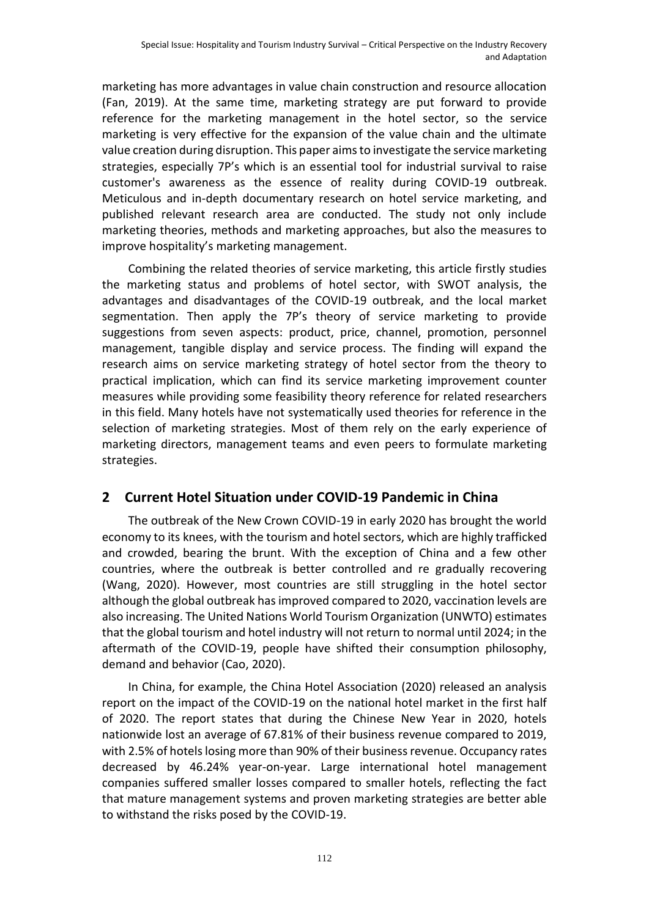marketing has more advantages in value chain construction and resource allocation (Fan, 2019). At the same time, marketing strategy are put forward to provide reference for the marketing management in the hotel sector, so the service marketing is very effective for the expansion of the value chain and the ultimate value creation during disruption. This paper aims to investigate the service marketing strategies, especially 7P's which is an essential tool for industrial survival to raise customer's awareness as the essence of reality during COVID-19 outbreak. Meticulous and in-depth documentary research on hotel service marketing, and published relevant research area are conducted. The study not only include marketing theories, methods and marketing approaches, but also the measures to improve hospitality's marketing management.

Combining the related theories of service marketing, this article firstly studies the marketing status and problems of hotel sector, with SWOT analysis, the advantages and disadvantages of the COVID-19 outbreak, and the local market segmentation. Then apply the 7P's theory of service marketing to provide suggestions from seven aspects: product, price, channel, promotion, personnel management, tangible display and service process. The finding will expand the research aims on service marketing strategy of hotel sector from the theory to practical implication, which can find its service marketing improvement counter measures while providing some feasibility theory reference for related researchers in this field. Many hotels have not systematically used theories for reference in the selection of marketing strategies. Most of them rely on the early experience of marketing directors, management teams and even peers to formulate marketing strategies.

# **2 Current Hotel Situation under COVID-19 Pandemic in China**

The outbreak of the New Crown COVID-19 in early 2020 has brought the world economy to its knees, with the tourism and hotel sectors, which are highly trafficked and crowded, bearing the brunt. With the exception of China and a few other countries, where the outbreak is better controlled and re gradually recovering (Wang, 2020). However, most countries are still struggling in the hotel sector although the global outbreak has improved compared to 2020, vaccination levels are also increasing. The United Nations World Tourism Organization (UNWTO) estimates that the global tourism and hotel industry will not return to normal until 2024; in the aftermath of the COVID-19, people have shifted their consumption philosophy, demand and behavior (Cao, 2020).

In China, for example, the China Hotel Association (2020) released an analysis report on the impact of the COVID-19 on the national hotel market in the first half of 2020. The report states that during the Chinese New Year in 2020, hotels nationwide lost an average of 67.81% of their business revenue compared to 2019, with 2.5% of hotels losing more than 90% of their business revenue. Occupancy rates decreased by 46.24% year-on-year. Large international hotel management companies suffered smaller losses compared to smaller hotels, reflecting the fact that mature management systems and proven marketing strategies are better able to withstand the risks posed by the COVID-19.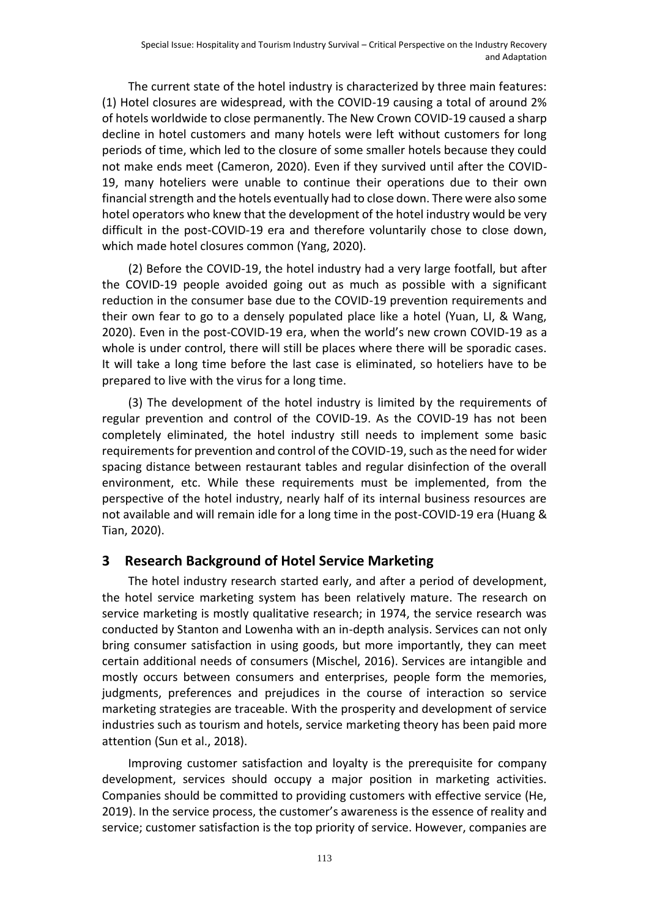The current state of the hotel industry is characterized by three main features: (1) Hotel closures are widespread, with the COVID-19 causing a total of around 2% of hotels worldwide to close permanently. The New Crown COVID-19 caused a sharp decline in hotel customers and many hotels were left without customers for long periods of time, which led to the closure of some smaller hotels because they could not make ends meet (Cameron, 2020). Even if they survived until after the COVID-19, many hoteliers were unable to continue their operations due to their own financial strength and the hotels eventually had to close down. There were also some hotel operators who knew that the development of the hotel industry would be very difficult in the post-COVID-19 era and therefore voluntarily chose to close down, which made hotel closures common (Yang, 2020).

(2) Before the COVID-19, the hotel industry had a very large footfall, but after the COVID-19 people avoided going out as much as possible with a significant reduction in the consumer base due to the COVID-19 prevention requirements and their own fear to go to a densely populated place like a hotel (Yuan, LI, & Wang, 2020). Even in the post-COVID-19 era, when the world's new crown COVID-19 as a whole is under control, there will still be places where there will be sporadic cases. It will take a long time before the last case is eliminated, so hoteliers have to be prepared to live with the virus for a long time.

(3) The development of the hotel industry is limited by the requirements of regular prevention and control of the COVID-19. As the COVID-19 has not been completely eliminated, the hotel industry still needs to implement some basic requirements for prevention and control of the COVID-19, such as the need for wider spacing distance between restaurant tables and regular disinfection of the overall environment, etc. While these requirements must be implemented, from the perspective of the hotel industry, nearly half of its internal business resources are not available and will remain idle for a long time in the post-COVID-19 era (Huang & Tian, 2020).

## **3 Research Background of Hotel Service Marketing**

The hotel industry research started early, and after a period of development, the hotel service marketing system has been relatively mature. The research on service marketing is mostly qualitative research; in 1974, the service research was conducted by Stanton and Lowenha with an in-depth analysis. Services can not only bring consumer satisfaction in using goods, but more importantly, they can meet certain additional needs of consumers (Mischel, 2016). Services are intangible and mostly occurs between consumers and enterprises, people form the memories, judgments, preferences and prejudices in the course of interaction so service marketing strategies are traceable. With the prosperity and development of service industries such as tourism and hotels, service marketing theory has been paid more attention (Sun et al., 2018).

Improving customer satisfaction and loyalty is the prerequisite for company development, services should occupy a major position in marketing activities. Companies should be committed to providing customers with effective service (He, 2019). In the service process, the customer's awareness is the essence of reality and service; customer satisfaction is the top priority of service. However, companies are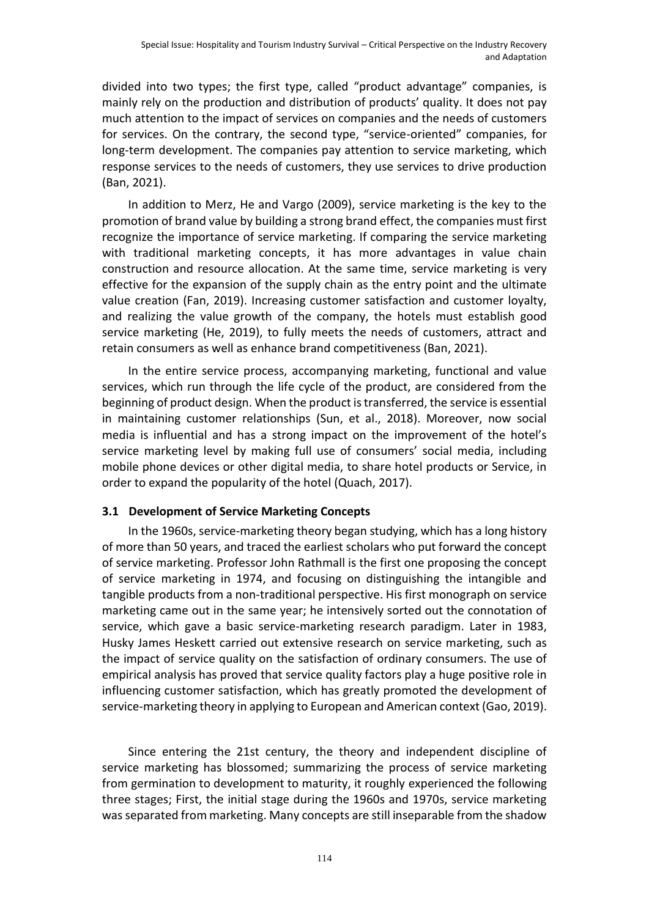divided into two types; the first type, called "product advantage" companies, is mainly rely on the production and distribution of products' quality. It does not pay much attention to the impact of services on companies and the needs of customers for services. On the contrary, the second type, "service-oriented" companies, for long-term development. The companies pay attention to service marketing, which response services to the needs of customers, they use services to drive production (Ban, 2021).

In addition to Merz, He and Vargo (2009), service marketing is the key to the promotion of brand value by building a strong brand effect, the companies must first recognize the importance of service marketing. If comparing the service marketing with traditional marketing concepts, it has more advantages in value chain construction and resource allocation. At the same time, service marketing is very effective for the expansion of the supply chain as the entry point and the ultimate value creation (Fan, 2019). Increasing customer satisfaction and customer loyalty, and realizing the value growth of the company, the hotels must establish good service marketing (He, 2019), to fully meets the needs of customers, attract and retain consumers as well as enhance brand competitiveness (Ban, 2021).

In the entire service process, accompanying marketing, functional and value services, which run through the life cycle of the product, are considered from the beginning of product design. When the product is transferred, the service is essential in maintaining customer relationships (Sun, et al., 2018). Moreover, now social media is influential and has a strong impact on the improvement of the hotel's service marketing level by making full use of consumers' social media, including mobile phone devices or other digital media, to share hotel products or Service, in order to expand the popularity of the hotel (Quach, 2017).

#### **3.1 Development of Service Marketing Concepts**

In the 1960s, service-marketing theory began studying, which has a long history of more than 50 years, and traced the earliest scholars who put forward the concept of service marketing. Professor John Rathmall is the first one proposing the concept of service marketing in 1974, and focusing on distinguishing the intangible and tangible products from a non-traditional perspective. His first monograph on service marketing came out in the same year; he intensively sorted out the connotation of service, which gave a basic service-marketing research paradigm. Later in 1983, Husky James Heskett carried out extensive research on service marketing, such as the impact of service quality on the satisfaction of ordinary consumers. The use of empirical analysis has proved that service quality factors play a huge positive role in influencing customer satisfaction, which has greatly promoted the development of service-marketing theory in applying to European and American context (Gao, 2019).

Since entering the 21st century, the theory and independent discipline of service marketing has blossomed; summarizing the process of service marketing from germination to development to maturity, it roughly experienced the following three stages; First, the initial stage during the 1960s and 1970s, service marketing was separated from marketing. Many concepts are still inseparable from the shadow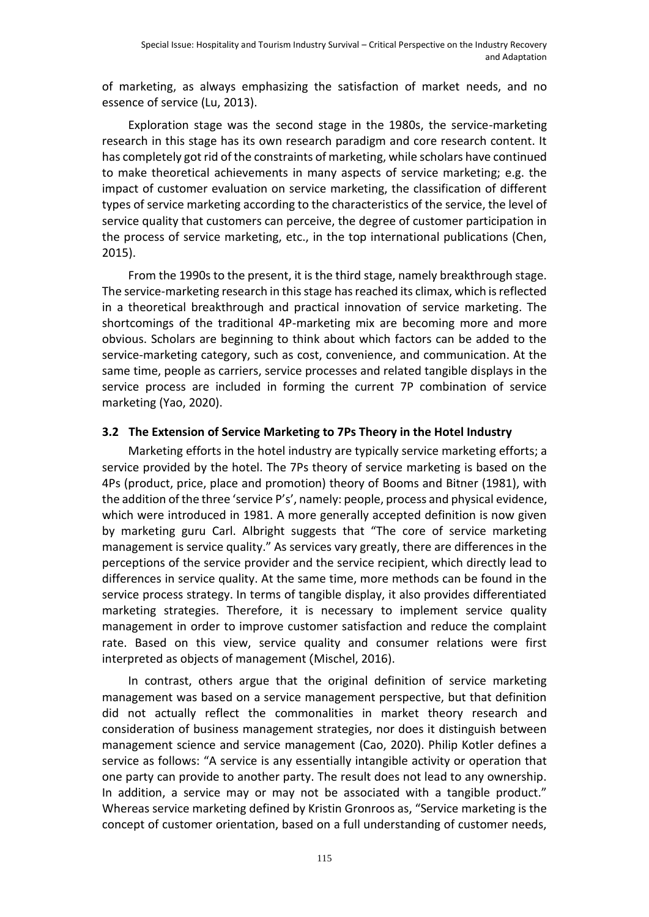of marketing, as always emphasizing the satisfaction of market needs, and no essence of service (Lu, 2013).

Exploration stage was the second stage in the 1980s, the service-marketing research in this stage has its own research paradigm and core research content. It has completely got rid of the constraints of marketing, while scholars have continued to make theoretical achievements in many aspects of service marketing; e.g. the impact of customer evaluation on service marketing, the classification of different types of service marketing according to the characteristics of the service, the level of service quality that customers can perceive, the degree of customer participation in the process of service marketing, etc., in the top international publications (Chen, 2015).

From the 1990s to the present, it is the third stage, namely breakthrough stage. The service-marketing research in this stage has reached its climax, which is reflected in a theoretical breakthrough and practical innovation of service marketing. The shortcomings of the traditional 4P-marketing mix are becoming more and more obvious. Scholars are beginning to think about which factors can be added to the service-marketing category, such as cost, convenience, and communication. At the same time, people as carriers, service processes and related tangible displays in the service process are included in forming the current 7P combination of service marketing (Yao, 2020).

#### **3.2 The Extension of Service Marketing to 7Ps Theory in the Hotel Industry**

Marketing efforts in the hotel industry are typically service marketing efforts; a service provided by the hotel. The 7Ps theory of service marketing is based on the 4Ps (product, price, place and promotion) theory of Booms and Bitner (1981), with the addition of the three 'service P's', namely: people, process and physical evidence, which were introduced in 1981. A more generally accepted definition is now given by marketing guru Carl. Albright suggests that "The core of service marketing management is service quality." As services vary greatly, there are differences in the perceptions of the service provider and the service recipient, which directly lead to differences in service quality. At the same time, more methods can be found in the service process strategy. In terms of tangible display, it also provides differentiated marketing strategies. Therefore, it is necessary to implement service quality management in order to improve customer satisfaction and reduce the complaint rate. Based on this view, service quality and consumer relations were first interpreted as objects of management (Mischel, 2016).

In contrast, others argue that the original definition of service marketing management was based on a service management perspective, but that definition did not actually reflect the commonalities in market theory research and consideration of business management strategies, nor does it distinguish between management science and service management (Cao, 2020). Philip Kotler defines a service as follows: "A service is any essentially intangible activity or operation that one party can provide to another party. The result does not lead to any ownership. In addition, a service may or may not be associated with a tangible product." Whereas service marketing defined by Kristin Gronroos as, "Service marketing is the concept of customer orientation, based on a full understanding of customer needs,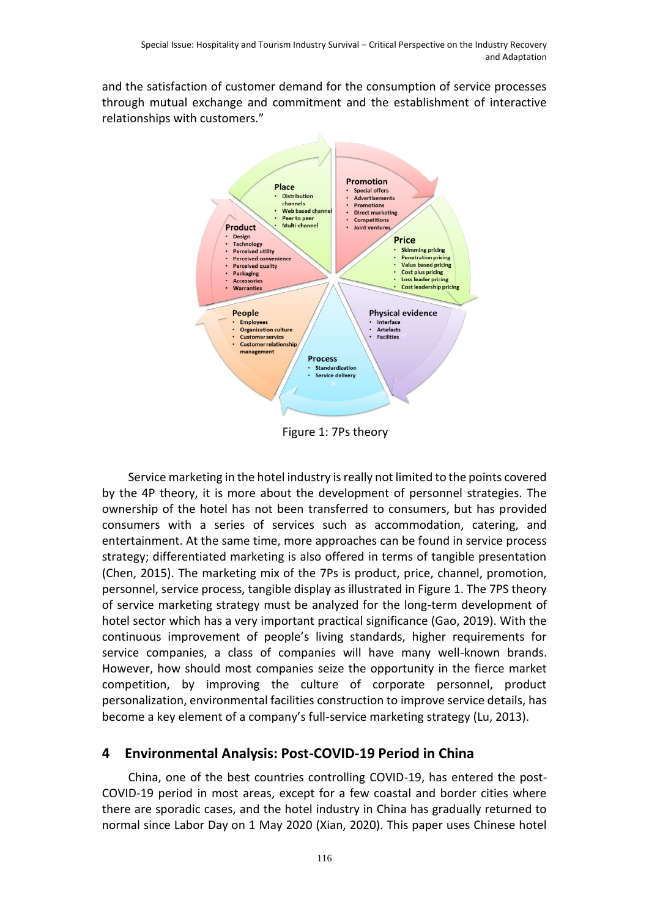and the satisfaction of customer demand for the consumption of service processes through mutual exchange and commitment and the establishment of interactive relationships with customers."



Figure 1: 7Ps theory

Service marketing in the hotel industry is really not limited to the points covered by the 4P theory, it is more about the development of personnel strategies. The ownership of the hotel has not been transferred to consumers, but has provided consumers with a series of services such as accommodation, catering, and entertainment. At the same time, more approaches can be found in service process strategy; differentiated marketing is also offered in terms of tangible presentation (Chen, 2015). The marketing mix of the 7Ps is product, price, channel, promotion, personnel, service process, tangible display as illustrated in Figure 1. The 7PS theory of service marketing strategy must be analyzed for the long-term development of hotel sector which has a very important practical significance (Gao, 2019). With the continuous improvement of people's living standards, higher requirements for service companies, a class of companies will have many well-known brands. However, how should most companies seize the opportunity in the fierce market competition, by improving the culture of corporate personnel, product personalization, environmental facilities construction to improve service details, has become a key element of a company's full-service marketing strategy (Lu, 2013).

# **4 Environmental Analysis: Post-COVID-19 Period in China**

China, one of the best countries controlling COVID-19, has entered the post-COVID-19 period in most areas, except for a few coastal and border cities where there are sporadic cases, and the hotel industry in China has gradually returned to normal since Labor Day on 1 May 2020 (Xian, 2020). This paper uses Chinese hotel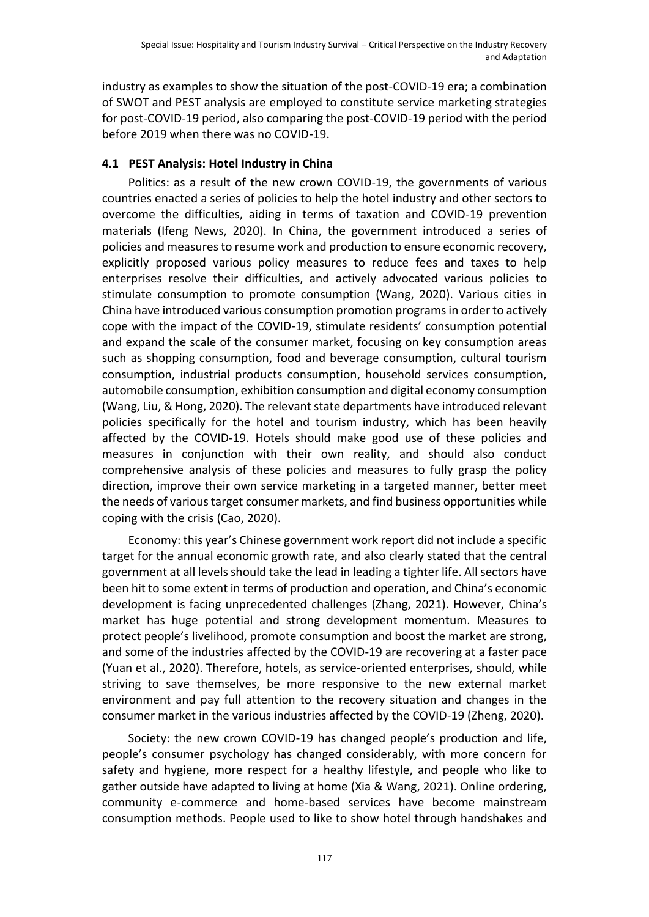industry as examples to show the situation of the post-COVID-19 era; a combination of SWOT and PEST analysis are employed to constitute service marketing strategies for post-COVID-19 period, also comparing the post-COVID-19 period with the period before 2019 when there was no COVID-19.

#### **4.1 PEST Analysis: Hotel Industry in China**

Politics: as a result of the new crown COVID-19, the governments of various countries enacted a series of policies to help the hotel industry and other sectors to overcome the difficulties, aiding in terms of taxation and COVID-19 prevention materials (Ifeng News, 2020). In China, the government introduced a series of policies and measures to resume work and production to ensure economic recovery, explicitly proposed various policy measures to reduce fees and taxes to help enterprises resolve their difficulties, and actively advocated various policies to stimulate consumption to promote consumption (Wang, 2020). Various cities in China have introduced various consumption promotion programs in order to actively cope with the impact of the COVID-19, stimulate residents' consumption potential and expand the scale of the consumer market, focusing on key consumption areas such as shopping consumption, food and beverage consumption, cultural tourism consumption, industrial products consumption, household services consumption, automobile consumption, exhibition consumption and digital economy consumption (Wang, Liu, & Hong, 2020). The relevant state departments have introduced relevant policies specifically for the hotel and tourism industry, which has been heavily affected by the COVID-19. Hotels should make good use of these policies and measures in conjunction with their own reality, and should also conduct comprehensive analysis of these policies and measures to fully grasp the policy direction, improve their own service marketing in a targeted manner, better meet the needs of various target consumer markets, and find business opportunities while coping with the crisis (Cao, 2020).

Economy: this year's Chinese government work report did not include a specific target for the annual economic growth rate, and also clearly stated that the central government at all levels should take the lead in leading a tighter life. All sectors have been hit to some extent in terms of production and operation, and China's economic development is facing unprecedented challenges (Zhang, 2021). However, China's market has huge potential and strong development momentum. Measures to protect people's livelihood, promote consumption and boost the market are strong, and some of the industries affected by the COVID-19 are recovering at a faster pace (Yuan et al., 2020). Therefore, hotels, as service-oriented enterprises, should, while striving to save themselves, be more responsive to the new external market environment and pay full attention to the recovery situation and changes in the consumer market in the various industries affected by the COVID-19 (Zheng, 2020).

Society: the new crown COVID-19 has changed people's production and life, people's consumer psychology has changed considerably, with more concern for safety and hygiene, more respect for a healthy lifestyle, and people who like to gather outside have adapted to living at home (Xia & Wang, 2021). Online ordering, community e-commerce and home-based services have become mainstream consumption methods. People used to like to show hotel through handshakes and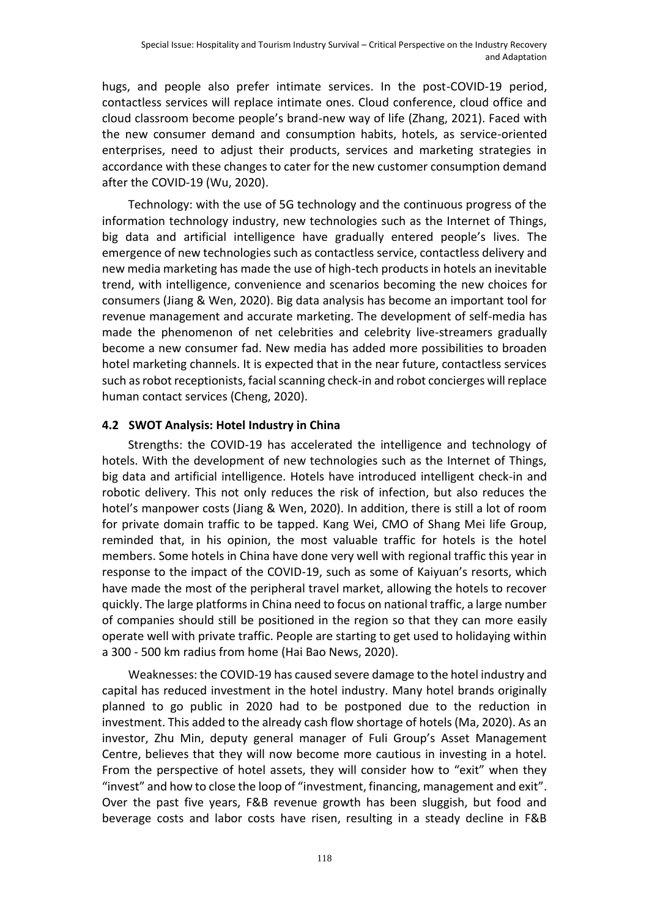hugs, and people also prefer intimate services. In the post-COVID-19 period, contactless services will replace intimate ones. Cloud conference, cloud office and cloud classroom become people's brand-new way of life (Zhang, 2021). Faced with the new consumer demand and consumption habits, hotels, as service-oriented enterprises, need to adjust their products, services and marketing strategies in accordance with these changes to cater for the new customer consumption demand after the COVID-19 (Wu, 2020).

Technology: with the use of 5G technology and the continuous progress of the information technology industry, new technologies such as the Internet of Things, big data and artificial intelligence have gradually entered people's lives. The emergence of new technologies such as contactless service, contactless delivery and new media marketing has made the use of high-tech products in hotels an inevitable trend, with intelligence, convenience and scenarios becoming the new choices for consumers (Jiang & Wen, 2020). Big data analysis has become an important tool for revenue management and accurate marketing. The development of self-media has made the phenomenon of net celebrities and celebrity live-streamers gradually become a new consumer fad. New media has added more possibilities to broaden hotel marketing channels. It is expected that in the near future, contactless services such as robot receptionists, facial scanning check-in and robot concierges will replace human contact services (Cheng, 2020).

#### **4.2 SWOT Analysis: Hotel Industry in China**

Strengths: the COVID-19 has accelerated the intelligence and technology of hotels. With the development of new technologies such as the Internet of Things, big data and artificial intelligence. Hotels have introduced intelligent check-in and robotic delivery. This not only reduces the risk of infection, but also reduces the hotel's manpower costs (Jiang & Wen, 2020). In addition, there is still a lot of room for private domain traffic to be tapped. Kang Wei, CMO of Shang Mei life Group, reminded that, in his opinion, the most valuable traffic for hotels is the hotel members. Some hotels in China have done very well with regional traffic this year in response to the impact of the COVID-19, such as some of Kaiyuan's resorts, which have made the most of the peripheral travel market, allowing the hotels to recover quickly. The large platforms in China need to focus on national traffic, a large number of companies should still be positioned in the region so that they can more easily operate well with private traffic. People are starting to get used to holidaying within a 300 - 500 km radius from home (Hai Bao News, 2020).

Weaknesses: the COVID-19 has caused severe damage to the hotel industry and capital has reduced investment in the hotel industry. Many hotel brands originally planned to go public in 2020 had to be postponed due to the reduction in investment. This added to the already cash flow shortage of hotels (Ma, 2020). As an investor, Zhu Min, deputy general manager of Fuli Group's Asset Management Centre, believes that they will now become more cautious in investing in a hotel. From the perspective of hotel assets, they will consider how to "exit" when they "invest" and how to close the loop of "investment, financing, management and exit". Over the past five years, F&B revenue growth has been sluggish, but food and beverage costs and labor costs have risen, resulting in a steady decline in F&B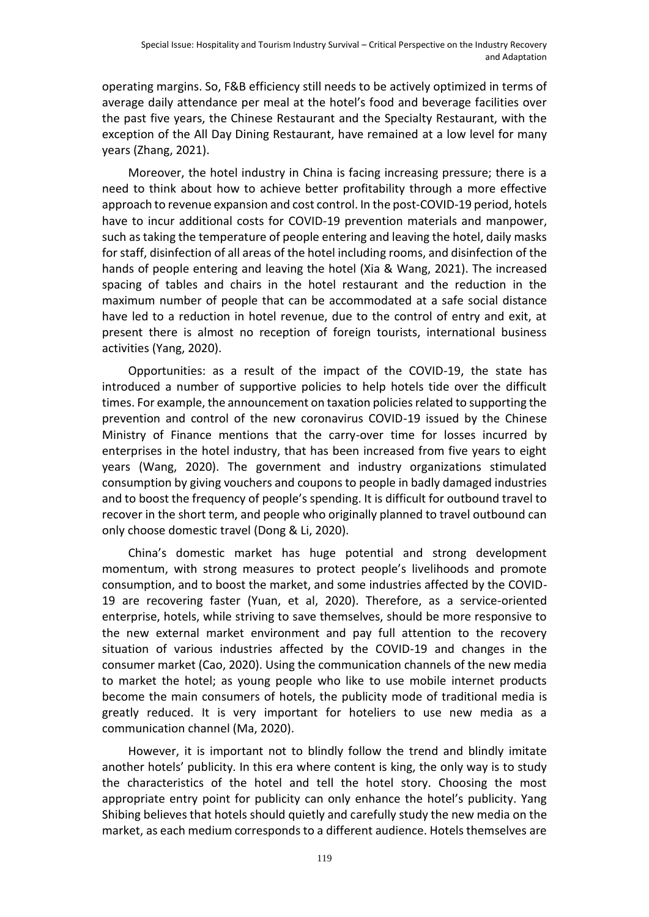operating margins. So, F&B efficiency still needs to be actively optimized in terms of average daily attendance per meal at the hotel's food and beverage facilities over the past five years, the Chinese Restaurant and the Specialty Restaurant, with the exception of the All Day Dining Restaurant, have remained at a low level for many years (Zhang, 2021).

Moreover, the hotel industry in China is facing increasing pressure; there is a need to think about how to achieve better profitability through a more effective approach to revenue expansion and cost control. In the post-COVID-19 period, hotels have to incur additional costs for COVID-19 prevention materials and manpower, such as taking the temperature of people entering and leaving the hotel, daily masks for staff, disinfection of all areas of the hotel including rooms, and disinfection of the hands of people entering and leaving the hotel (Xia & Wang, 2021). The increased spacing of tables and chairs in the hotel restaurant and the reduction in the maximum number of people that can be accommodated at a safe social distance have led to a reduction in hotel revenue, due to the control of entry and exit, at present there is almost no reception of foreign tourists, international business activities (Yang, 2020).

Opportunities: as a result of the impact of the COVID-19, the state has introduced a number of supportive policies to help hotels tide over the difficult times. For example, the announcement on taxation policies related to supporting the prevention and control of the new coronavirus COVID-19 issued by the Chinese Ministry of Finance mentions that the carry-over time for losses incurred by enterprises in the hotel industry, that has been increased from five years to eight years (Wang, 2020). The government and industry organizations stimulated consumption by giving vouchers and coupons to people in badly damaged industries and to boost the frequency of people's spending. It is difficult for outbound travel to recover in the short term, and people who originally planned to travel outbound can only choose domestic travel (Dong & Li, 2020).

China's domestic market has huge potential and strong development momentum, with strong measures to protect people's livelihoods and promote consumption, and to boost the market, and some industries affected by the COVID-19 are recovering faster (Yuan, et al, 2020). Therefore, as a service-oriented enterprise, hotels, while striving to save themselves, should be more responsive to the new external market environment and pay full attention to the recovery situation of various industries affected by the COVID-19 and changes in the consumer market (Cao, 2020). Using the communication channels of the new media to market the hotel; as young people who like to use mobile internet products become the main consumers of hotels, the publicity mode of traditional media is greatly reduced. It is very important for hoteliers to use new media as a communication channel (Ma, 2020).

However, it is important not to blindly follow the trend and blindly imitate another hotels' publicity. In this era where content is king, the only way is to study the characteristics of the hotel and tell the hotel story. Choosing the most appropriate entry point for publicity can only enhance the hotel's publicity. Yang Shibing believes that hotels should quietly and carefully study the new media on the market, as each medium corresponds to a different audience. Hotels themselves are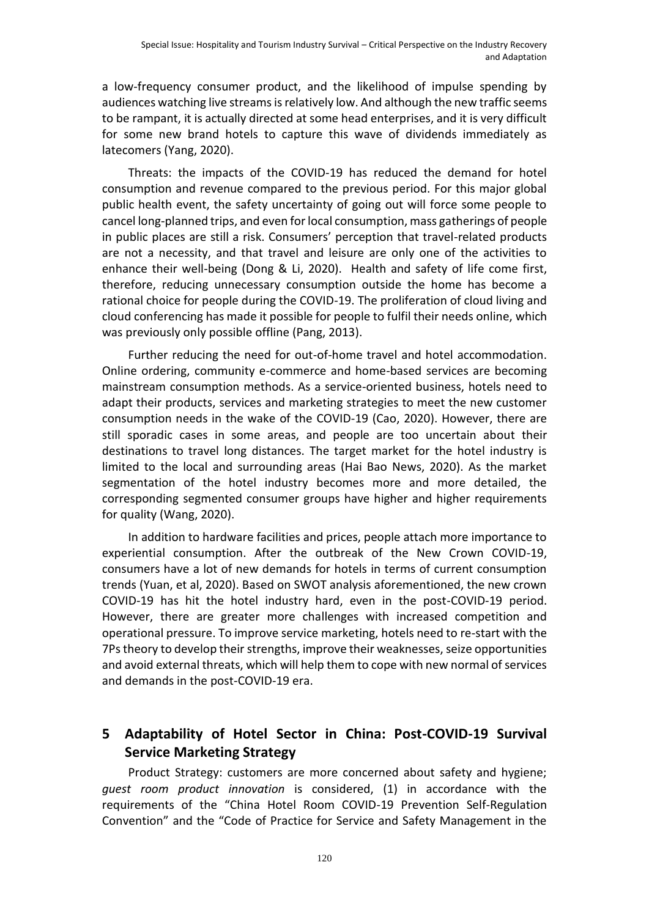a low-frequency consumer product, and the likelihood of impulse spending by audiences watching live streams is relatively low. And although the new traffic seems to be rampant, it is actually directed at some head enterprises, and it is very difficult for some new brand hotels to capture this wave of dividends immediately as latecomers (Yang, 2020).

Threats: the impacts of the COVID-19 has reduced the demand for hotel consumption and revenue compared to the previous period. For this major global public health event, the safety uncertainty of going out will force some people to cancel long-planned trips, and even for local consumption, mass gatherings of people in public places are still a risk. Consumers' perception that travel-related products are not a necessity, and that travel and leisure are only one of the activities to enhance their well-being (Dong & Li, 2020). Health and safety of life come first, therefore, reducing unnecessary consumption outside the home has become a rational choice for people during the COVID-19. The proliferation of cloud living and cloud conferencing has made it possible for people to fulfil their needs online, which was previously only possible offline (Pang, 2013).

Further reducing the need for out-of-home travel and hotel accommodation. Online ordering, community e-commerce and home-based services are becoming mainstream consumption methods. As a service-oriented business, hotels need to adapt their products, services and marketing strategies to meet the new customer consumption needs in the wake of the COVID-19 (Cao, 2020). However, there are still sporadic cases in some areas, and people are too uncertain about their destinations to travel long distances. The target market for the hotel industry is limited to the local and surrounding areas (Hai Bao News, 2020). As the market segmentation of the hotel industry becomes more and more detailed, the corresponding segmented consumer groups have higher and higher requirements for quality (Wang, 2020).

In addition to hardware facilities and prices, people attach more importance to experiential consumption. After the outbreak of the New Crown COVID-19, consumers have a lot of new demands for hotels in terms of current consumption trends (Yuan, et al, 2020). Based on SWOT analysis aforementioned, the new crown COVID-19 has hit the hotel industry hard, even in the post-COVID-19 period. However, there are greater more challenges with increased competition and operational pressure. To improve service marketing, hotels need to re-start with the 7Ps theory to develop their strengths, improve their weaknesses, seize opportunities and avoid external threats, which will help them to cope with new normal of services and demands in the post-COVID-19 era.

# **5 Adaptability of Hotel Sector in China: Post-COVID-19 Survival Service Marketing Strategy**

Product Strategy: customers are more concerned about safety and hygiene; *guest room product innovation* is considered, (1) in accordance with the requirements of the "China Hotel Room COVID-19 Prevention Self-Regulation Convention" and the "Code of Practice for Service and Safety Management in the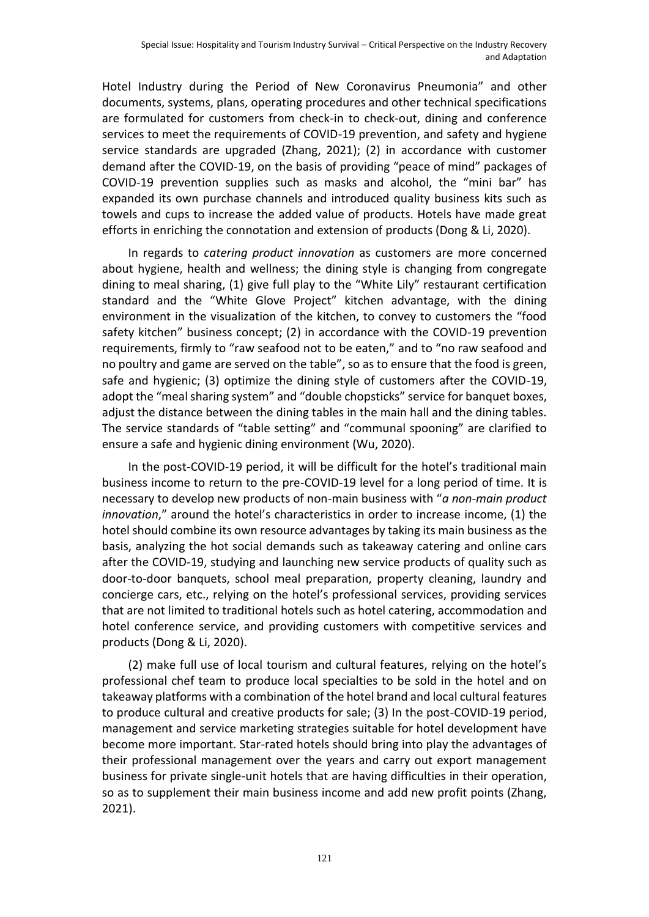Hotel Industry during the Period of New Coronavirus Pneumonia" and other documents, systems, plans, operating procedures and other technical specifications are formulated for customers from check-in to check-out, dining and conference services to meet the requirements of COVID-19 prevention, and safety and hygiene service standards are upgraded (Zhang, 2021); (2) in accordance with customer demand after the COVID-19, on the basis of providing "peace of mind" packages of COVID-19 prevention supplies such as masks and alcohol, the "mini bar" has expanded its own purchase channels and introduced quality business kits such as towels and cups to increase the added value of products. Hotels have made great efforts in enriching the connotation and extension of products (Dong & Li, 2020).

In regards to *catering product innovation* as customers are more concerned about hygiene, health and wellness; the dining style is changing from congregate dining to meal sharing, (1) give full play to the "White Lily" restaurant certification standard and the "White Glove Project" kitchen advantage, with the dining environment in the visualization of the kitchen, to convey to customers the "food safety kitchen" business concept; (2) in accordance with the COVID-19 prevention requirements, firmly to "raw seafood not to be eaten," and to "no raw seafood and no poultry and game are served on the table", so as to ensure that the food is green, safe and hygienic; (3) optimize the dining style of customers after the COVID-19, adopt the "meal sharing system" and "double chopsticks" service for banquet boxes, adjust the distance between the dining tables in the main hall and the dining tables. The service standards of "table setting" and "communal spooning" are clarified to ensure a safe and hygienic dining environment (Wu, 2020).

In the post-COVID-19 period, it will be difficult for the hotel's traditional main business income to return to the pre-COVID-19 level for a long period of time. It is necessary to develop new products of non-main business with "*a non-main product innovation*," around the hotel's characteristics in order to increase income, (1) the hotel should combine its own resource advantages by taking its main business as the basis, analyzing the hot social demands such as takeaway catering and online cars after the COVID-19, studying and launching new service products of quality such as door-to-door banquets, school meal preparation, property cleaning, laundry and concierge cars, etc., relying on the hotel's professional services, providing services that are not limited to traditional hotels such as hotel catering, accommodation and hotel conference service, and providing customers with competitive services and products (Dong & Li, 2020).

(2) make full use of local tourism and cultural features, relying on the hotel's professional chef team to produce local specialties to be sold in the hotel and on takeaway platforms with a combination of the hotel brand and local cultural features to produce cultural and creative products for sale; (3) In the post-COVID-19 period, management and service marketing strategies suitable for hotel development have become more important. Star-rated hotels should bring into play the advantages of their professional management over the years and carry out export management business for private single-unit hotels that are having difficulties in their operation, so as to supplement their main business income and add new profit points (Zhang, 2021).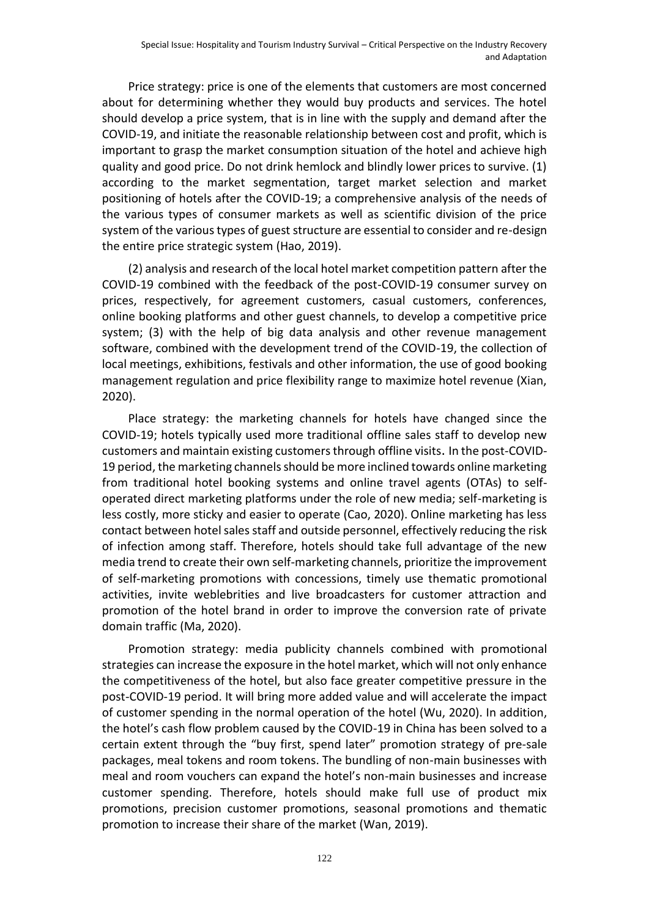Price strategy: price is one of the elements that customers are most concerned about for determining whether they would buy products and services. The hotel should develop a price system, that is in line with the supply and demand after the COVID-19, and initiate the reasonable relationship between cost and profit, which is important to grasp the market consumption situation of the hotel and achieve high quality and good price. Do not drink hemlock and blindly lower prices to survive. (1) according to the market segmentation, target market selection and market positioning of hotels after the COVID-19; a comprehensive analysis of the needs of the various types of consumer markets as well as scientific division of the price system of the various types of guest structure are essential to consider and re-design the entire price strategic system (Hao, 2019).

(2) analysis and research of the local hotel market competition pattern after the COVID-19 combined with the feedback of the post-COVID-19 consumer survey on prices, respectively, for agreement customers, casual customers, conferences, online booking platforms and other guest channels, to develop a competitive price system; (3) with the help of big data analysis and other revenue management software, combined with the development trend of the COVID-19, the collection of local meetings, exhibitions, festivals and other information, the use of good booking management regulation and price flexibility range to maximize hotel revenue (Xian, 2020).

Place strategy: the marketing channels for hotels have changed since the COVID-19; hotels typically used more traditional offline sales staff to develop new customers and maintain existing customers through offline visits. In the post-COVID-19 period, the marketing channels should be more inclined towards online marketing from traditional hotel booking systems and online travel agents (OTAs) to selfoperated direct marketing platforms under the role of new media; self-marketing is less costly, more sticky and easier to operate (Cao, 2020). Online marketing has less contact between hotel sales staff and outside personnel, effectively reducing the risk of infection among staff. Therefore, hotels should take full advantage of the new media trend to create their own self-marketing channels, prioritize the improvement of self-marketing promotions with concessions, timely use thematic promotional activities, invite weblebrities and live broadcasters for customer attraction and promotion of the hotel brand in order to improve the conversion rate of private domain traffic (Ma, 2020).

Promotion strategy: media publicity channels combined with promotional strategies can increase the exposure in the hotel market, which will not only enhance the competitiveness of the hotel, but also face greater competitive pressure in the post-COVID-19 period. It will bring more added value and will accelerate the impact of customer spending in the normal operation of the hotel (Wu, 2020). In addition, the hotel's cash flow problem caused by the COVID-19 in China has been solved to a certain extent through the "buy first, spend later" promotion strategy of pre-sale packages, meal tokens and room tokens. The bundling of non-main businesses with meal and room vouchers can expand the hotel's non-main businesses and increase customer spending. Therefore, hotels should make full use of product mix promotions, precision customer promotions, seasonal promotions and thematic promotion to increase their share of the market (Wan, 2019).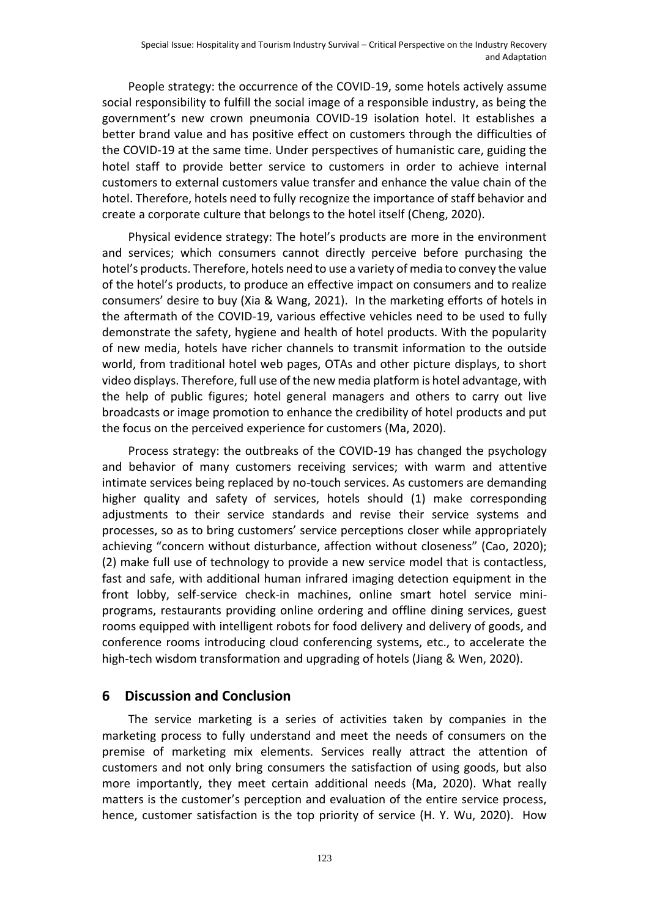People strategy: the occurrence of the COVID-19, some hotels actively assume social responsibility to fulfill the social image of a responsible industry, as being the government's new crown pneumonia COVID-19 isolation hotel. It establishes a better brand value and has positive effect on customers through the difficulties of the COVID-19 at the same time. Under perspectives of humanistic care, guiding the hotel staff to provide better service to customers in order to achieve internal customers to external customers value transfer and enhance the value chain of the hotel. Therefore, hotels need to fully recognize the importance of staff behavior and create a corporate culture that belongs to the hotel itself (Cheng, 2020).

Physical evidence strategy: The hotel's products are more in the environment and services; which consumers cannot directly perceive before purchasing the hotel's products. Therefore, hotels need to use a variety of media to convey the value of the hotel's products, to produce an effective impact on consumers and to realize consumers' desire to buy (Xia & Wang, 2021). In the marketing efforts of hotels in the aftermath of the COVID-19, various effective vehicles need to be used to fully demonstrate the safety, hygiene and health of hotel products. With the popularity of new media, hotels have richer channels to transmit information to the outside world, from traditional hotel web pages, OTAs and other picture displays, to short video displays. Therefore, full use of the new media platform is hotel advantage, with the help of public figures; hotel general managers and others to carry out live broadcasts or image promotion to enhance the credibility of hotel products and put the focus on the perceived experience for customers (Ma, 2020).

Process strategy: the outbreaks of the COVID-19 has changed the psychology and behavior of many customers receiving services; with warm and attentive intimate services being replaced by no-touch services. As customers are demanding higher quality and safety of services, hotels should (1) make corresponding adjustments to their service standards and revise their service systems and processes, so as to bring customers' service perceptions closer while appropriately achieving "concern without disturbance, affection without closeness" (Cao, 2020); (2) make full use of technology to provide a new service model that is contactless, fast and safe, with additional human infrared imaging detection equipment in the front lobby, self-service check-in machines, online smart hotel service miniprograms, restaurants providing online ordering and offline dining services, guest rooms equipped with intelligent robots for food delivery and delivery of goods, and conference rooms introducing cloud conferencing systems, etc., to accelerate the high-tech wisdom transformation and upgrading of hotels (Jiang & Wen, 2020).

## **6 Discussion and Conclusion**

The service marketing is a series of activities taken by companies in the marketing process to fully understand and meet the needs of consumers on the premise of marketing mix elements. Services really attract the attention of customers and not only bring consumers the satisfaction of using goods, but also more importantly, they meet certain additional needs (Ma, 2020). What really matters is the customer's perception and evaluation of the entire service process, hence, customer satisfaction is the top priority of service (H. Y. Wu, 2020). How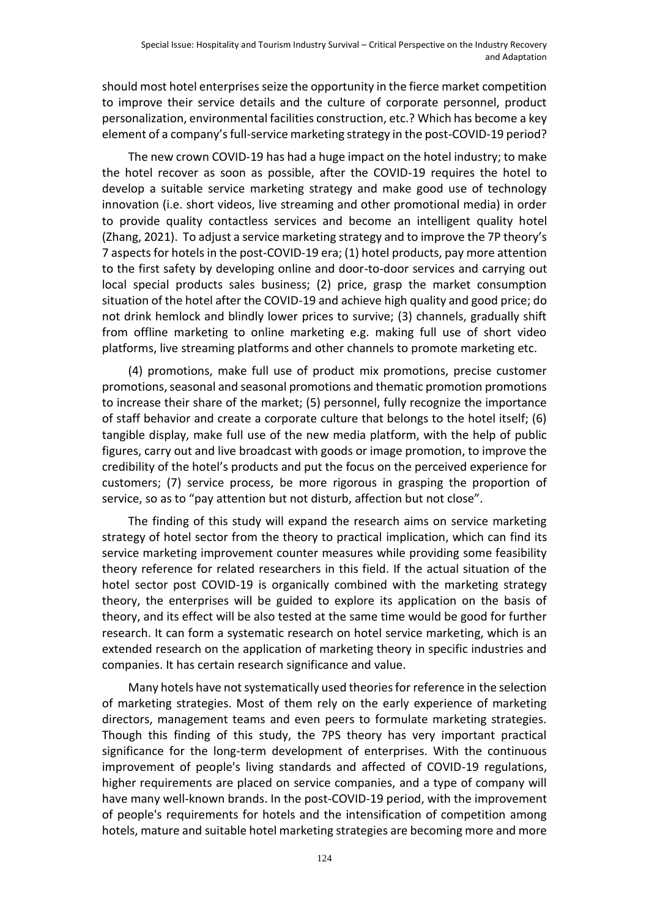should most hotel enterprises seize the opportunity in the fierce market competition to improve their service details and the culture of corporate personnel, product personalization, environmental facilities construction, etc.? Which has become a key element of a company's full-service marketing strategy in the post-COVID-19 period?

The new crown COVID-19 has had a huge impact on the hotel industry; to make the hotel recover as soon as possible, after the COVID-19 requires the hotel to develop a suitable service marketing strategy and make good use of technology innovation (i.e. short videos, live streaming and other promotional media) in order to provide quality contactless services and become an intelligent quality hotel (Zhang, 2021). To adjust a service marketing strategy and to improve the 7P theory's 7 aspects for hotels in the post-COVID-19 era; (1) hotel products, pay more attention to the first safety by developing online and door-to-door services and carrying out local special products sales business; (2) price, grasp the market consumption situation of the hotel after the COVID-19 and achieve high quality and good price; do not drink hemlock and blindly lower prices to survive; (3) channels, gradually shift from offline marketing to online marketing e.g. making full use of short video platforms, live streaming platforms and other channels to promote marketing etc.

(4) promotions, make full use of product mix promotions, precise customer promotions, seasonal and seasonal promotions and thematic promotion promotions to increase their share of the market; (5) personnel, fully recognize the importance of staff behavior and create a corporate culture that belongs to the hotel itself; (6) tangible display, make full use of the new media platform, with the help of public figures, carry out and live broadcast with goods or image promotion, to improve the credibility of the hotel's products and put the focus on the perceived experience for customers; (7) service process, be more rigorous in grasping the proportion of service, so as to "pay attention but not disturb, affection but not close".

The finding of this study will expand the research aims on service marketing strategy of hotel sector from the theory to practical implication, which can find its service marketing improvement counter measures while providing some feasibility theory reference for related researchers in this field. If the actual situation of the hotel sector post COVID-19 is organically combined with the marketing strategy theory, the enterprises will be guided to explore its application on the basis of theory, and its effect will be also tested at the same time would be good for further research. It can form a systematic research on hotel service marketing, which is an extended research on the application of marketing theory in specific industries and companies. It has certain research significance and value.

Many hotels have not systematically used theories for reference in the selection of marketing strategies. Most of them rely on the early experience of marketing directors, management teams and even peers to formulate marketing strategies. Though this finding of this study, the 7PS theory has very important practical significance for the long-term development of enterprises. With the continuous improvement of people's living standards and affected of COVID-19 regulations, higher requirements are placed on service companies, and a type of company will have many well-known brands. In the post-COVID-19 period, with the improvement of people's requirements for hotels and the intensification of competition among hotels, mature and suitable hotel marketing strategies are becoming more and more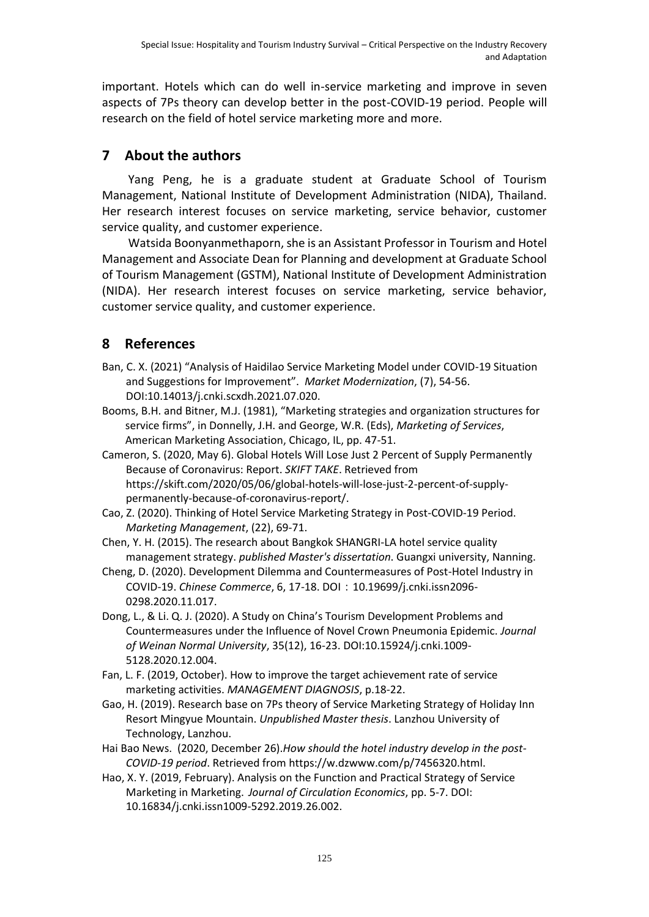important. Hotels which can do well in-service marketing and improve in seven aspects of 7Ps theory can develop better in the post-COVID-19 period. People will research on the field of hotel service marketing more and more.

## **7 About the authors**

Yang Peng, he is a graduate student at Graduate School of Tourism Management, National Institute of Development Administration (NIDA), Thailand. Her research interest focuses on service marketing, service behavior, customer service quality, and customer experience.

Watsida Boonyanmethaporn, she is an Assistant Professor in Tourism and Hotel Management and Associate Dean for Planning and development at Graduate School of Tourism Management (GSTM), National Institute of Development Administration (NIDA). Her research interest focuses on service marketing, service behavior, customer service quality, and customer experience.

# **8 References**

- Ban, C. X. (2021) "Analysis of Haidilao Service Marketing Model under COVID-19 Situation and Suggestions for Improvement". *Market Modernization*, (7), 54-56. DOI:10.14013/j.cnki.scxdh.2021.07.020.
- Booms, B.H. and Bitner, M.J. (1981), "Marketing strategies and organization structures for service firms", in Donnelly, J.H. and George, W.R. (Eds), *Marketing of Services*, American Marketing Association, Chicago, IL, pp. 47-51.
- Cameron, S. (2020, May 6). Global Hotels Will Lose Just 2 Percent of Supply Permanently Because of Coronavirus: Report. *SKIFT TAKE*. Retrieved from https://skift.com/2020/05/06/global-hotels-will-lose-just-2-percent-of-supplypermanently-because-of-coronavirus-report/.
- Cao, Z. (2020). Thinking of Hotel Service Marketing Strategy in Post-COVID-19 Period. *Marketing Management*, (22), 69-71.
- Chen, Y. H. (2015). The research about Bangkok SHANGRI-LA hotel service quality management strategy. *published Master's dissertation*. Guangxi university, Nanning.
- Cheng, D. (2020). Development Dilemma and Countermeasures of Post-Hotel Industry in COVID-19. *Chinese Commerce*, 6, 17-18. DOI:10.19699/j.cnki.issn2096- 0298.2020.11.017.
- Dong, L., & Li. Q. J. (2020). A Study on China's Tourism Development Problems and Countermeasures under the Influence of Novel Crown Pneumonia Epidemic. *Journal of Weinan Normal University*, 35(12), 16-23. DOI:10.15924/j.cnki.1009- 5128.2020.12.004.
- Fan, L. F. (2019, October). How to improve the target achievement rate of service marketing activities. *MANAGEMENT DIAGNOSIS*, p.18-22.
- Gao, H. (2019). Research base on 7Ps theory of Service Marketing Strategy of Holiday Inn Resort Mingyue Mountain. *Unpublished Master thesis*. Lanzhou University of Technology, Lanzhou.
- Hai Bao News. (2020, December 26).*How should the hotel industry develop in the post-COVID-19 period*. Retrieved from https://w.dzwww.com/p/7456320.html.
- Hao, X. Y. (2019, February). Analysis on the Function and Practical Strategy of Service Marketing in Marketing. *Journal of Circulation Economics*, pp. 5-7. DOI: 10.16834/j.cnki.issn1009-5292.2019.26.002.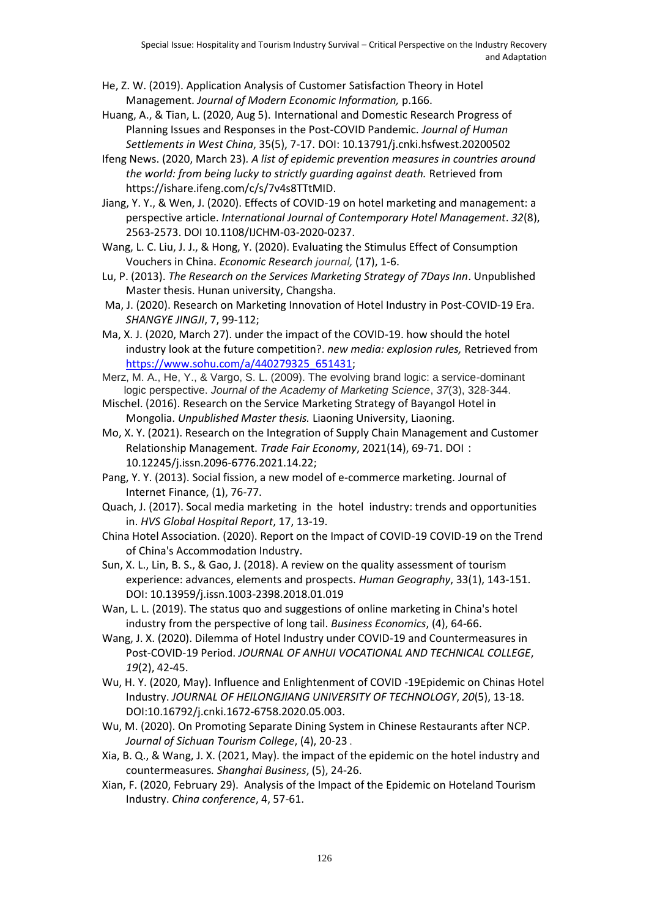- He, Z. W. (2019). Application Analysis of Customer Satisfaction Theory in Hotel Management. *Journal of Modern Economic Information,* p.166.
- Huang, A., & Tian, L. (2020, Aug 5). International and Domestic Research Progress of Planning Issues and Responses in the Post-COVID Pandemic. *Journal of Human Settlements in West China*, 35(5), 7-17. DOI: 10.13791/j.cnki.hsfwest.20200502
- Ifeng News. (2020, March 23)*. A list of epidemic prevention measures in countries around the world: from being lucky to strictly guarding against death.* Retrieved from https://ishare.ifeng.com/c/s/7v4s8TTtMID.

Jiang, Y. Y., & Wen, J. (2020). Effects of COVID-19 on hotel marketing and management: a perspective article. *International Journal of Contemporary Hotel Management*. *32*(8), 2563-2573. DOI 10.1108/IJCHM-03-2020-0237.

- Wang, L. C. Liu, J. J., & Hong, Y. (2020). Evaluating the Stimulus Effect of Consumption Vouchers in China. *Economic Research journal,* (17), 1-6.
- Lu, P. (2013). *The Research on the Services Marketing Strategy of 7Days Inn*. Unpublished Master thesis. Hunan university, Changsha.
- Ma, J. (2020). Research on Marketing Innovation of Hotel Industry in Post-COVID-19 Era. *SHANGYE JINGJI*, 7, 99-112;
- Ma, X. J. (2020, March 27). under the impact of the COVID-19. how should the hotel industry look at the future competition?. *new media: explosion rules,* Retrieved from [https://www.sohu.com/a/440279325\\_651431;](https://www.sohu.com/a/440279325_651431)
- Merz, M. A., He, Y., & Vargo, S. L. (2009). The evolving brand logic: a service-dominant logic perspective. *Journal of the Academy of Marketing Science*, *37*(3), 328-344.
- Mischel. (2016). Research on the Service Marketing Strategy of Bayangol Hotel in Mongolia. *Unpublished Master thesis.* Liaoning University, Liaoning.
- Mo, X. Y. (2021). Research on the Integration of Supply Chain Management and Customer Relationship Management. *Trade Fair Economy*, 2021(14), 69-71. DOI: 10.12245/j.issn.2096-6776.2021.14.22;
- Pang, Y. Y. (2013). Social fission, a new model of e-commerce marketing. Journal of Internet Finance, (1), 76-77.

Quach, J. (2017). Socal media marketing in the hotel industry: trends and opportunities in. *HVS Global Hospital Report*, 17, 13-19.

China Hotel Association. (2020). Report on the Impact of COVID-19 COVID-19 on the Trend of China's Accommodation Industry.

Sun, X. L., Lin, B. S., & Gao, J. (2018). A review on the quality assessment of tourism experience: advances, elements and prospects. *Human Geography*, 33(1), 143-151. DOI: 10.13959/j.issn.1003-2398.2018.01.019

- Wan, L. L. (2019). The status quo and suggestions of online marketing in China's hotel industry from the perspective of long tail. *Business Economics*, (4), 64-66.
- Wang, J. X. (2020). Dilemma of Hotel Industry under COVID-19 and Countermeasures in Post-COVID-19 Period. *JOURNAL OF ANHUI VOCATIONAL AND TECHNICAL COLLEGE*, *19*(2), 42-45.
- Wu, H. Y. (2020, May). Influence and Enlightenment of COVID -19Epidemic on Chinas Hotel Industry. *JOURNAL OF HEILONGJIANG UNIVERSITY OF TECHNOLOGY*, *20*(5), 13-18. DOI:10.16792/j.cnki.1672-6758.2020.05.003.
- Wu, M. (2020). On Promoting Separate Dining System in Chinese Restaurants after NCP. *Journal of Sichuan Tourism College*, (4), 20-23 .
- Xia, B. Q., & Wang, J. X. (2021, May). the impact of the epidemic on the hotel industry and countermeasures*. Shanghai Business*, (5), 24-26.
- Xian, F. (2020, February 29). Analysis of the Impact of the Epidemic on Hoteland Tourism Industry. *China conference*, 4, 57-61.